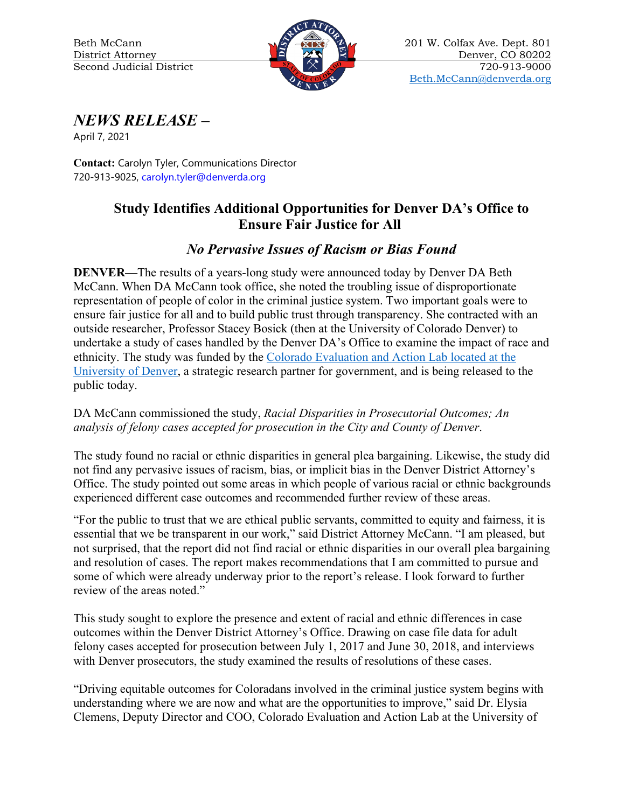

*NEWS RELEASE* **–**

April 7, 2021

**Contact:** Carolyn Tyler, Communications Director 720-913-9025, carolyn.tyler@denverda.org

## **Study Identifies Additional Opportunities for Denver DA's Office to Ensure Fair Justice for All**

## *No Pervasive Issues of Racism or Bias Found*

**DENVER—**The results of a years-long study were announced today by Denver DA Beth McCann. When DA McCann took office, she noted the troubling issue of disproportionate representation of people of color in the criminal justice system. Two important goals were to ensure fair justice for all and to build public trust through transparency. She contracted with an outside researcher, Professor Stacey Bosick (then at the University of Colorado Denver) to undertake a study of cases handled by the Denver DA's Office to examine the impact of race and ethnicity. The study was funded by the [Colorado Evaluation and Action Lab](https://coloradolab.org/) located at the University of Denver, a strategic research partner for government, and is being released to the public today.

DA McCann commissioned the study, *Racial Disparities in Prosecutorial Outcomes; An analysis of felony cases accepted for prosecution in the City and County of Denver*.

The study found no racial or ethnic disparities in general plea bargaining. Likewise, the study did not find any pervasive issues of racism, bias, or implicit bias in the Denver District Attorney's Office. The study pointed out some areas in which people of various racial or ethnic backgrounds experienced different case outcomes and recommended further review of these areas.

"For the public to trust that we are ethical public servants, committed to equity and fairness, it is essential that we be transparent in our work," said District Attorney McCann. "I am pleased, but not surprised, that the report did not find racial or ethnic disparities in our overall plea bargaining and resolution of cases. The report makes recommendations that I am committed to pursue and some of which were already underway prior to the report's release. I look forward to further review of the areas noted."

This study sought to explore the presence and extent of racial and ethnic differences in case outcomes within the Denver District Attorney's Office. Drawing on case file data for adult felony cases accepted for prosecution between July 1, 2017 and June 30, 2018, and interviews with Denver prosecutors, the study examined the results of resolutions of these cases.

"Driving equitable outcomes for Coloradans involved in the criminal justice system begins with understanding where we are now and what are the opportunities to improve," said Dr. Elysia Clemens, Deputy Director and COO, Colorado Evaluation and Action Lab at the University of